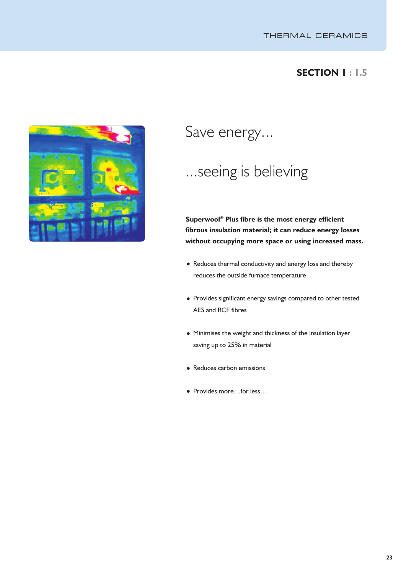### **SECTION 1 : 1.5**



Save energy...

## ...seeing is believing

**Superwool ® Plus fibre is the most energy efficient fibrous insulation material; it can reduce energy losses without occupying more space or using increased mass.**

- Reduces thermal conductivity and energy loss and thereby reduces the outside furnace temperature
- Provides significant energy savings compared to other tested AES and RCF fibres
- Minimises the weight and thickness of the insulation layer saving up to 25% in material
- Reduces carbon emissions
- Provides more…for less…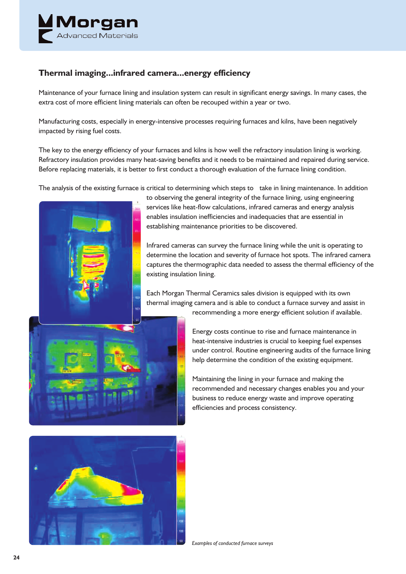

### **Thermal imaging...infrared camera...energy efficiency**

Maintenance of your furnace lining and insulation system can result in significant energy savings. In many cases, the extra cost of more efficient lining materials can often be recouped within a year or two.

Manufacturing costs, especially in energy-intensive processes requiring furnaces and kilns, have been negatively impacted by rising fuel costs.

The key to the energy efficiency of your furnaces and kilns is how well the refractory insulation lining is working. Refractory insulation provides many heat-saving benefits and it needs to be maintained and repaired during service. Before replacing materials, it is better to first conduct a thorough evaluation of the furnace lining condition.

The analysis of the existing furnace is critical to determining which steps to take in lining maintenance. In addition



to observing the general integrity of the furnace lining, using engineering services like heat-flow calculations, infrared cameras and energy analysis enables insulation inefficiencies and inadequacies that are essential in establishing maintenance priorities to be discovered.

Infrared cameras can survey the furnace lining while the unit is operating to determine the location and severity of furnace hot spots. The infrared camera captures the thermographic data needed to assess the thermal efficiency of the existing insulation lining.

Each Morgan Thermal Ceramics sales division is equipped with its own thermal imaging camera and is able to conduct a furnace survey and assist in

recommending a more energy efficient solution if available.

Energy costs continue to rise and furnace maintenance in heat-intensive industries is crucial to keeping fuel expenses under control. Routine engineering audits of the furnace lining help determine the condition of the existing equipment.

Maintaining the lining in your furnace and making the recommended and necessary changes enables you and your business to reduce energy waste and improve operating efficiencies and process consistency.

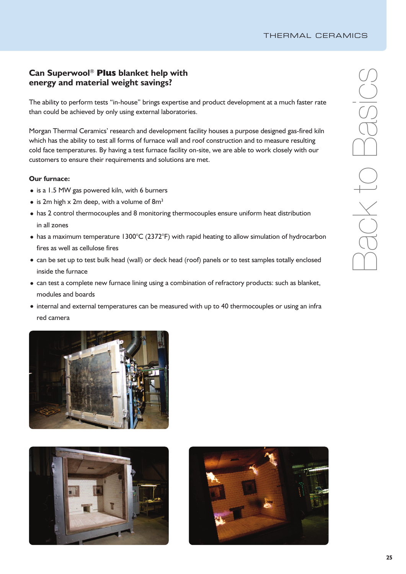#### **Can** Superwool® Plus blanket help with<br>energy and material weight coving? **energy and material weight savings?**

The ability to perform tests "in-house" brings expertise and product development at a much faster rate than could be achieved by only using external laboratories.

Morgan Thermal Ceramics' research and development facility houses a purpose designed gas-fired kiln which has the ability to test all forms of furnace wall and roof construction and to measure resulting cold face temperatures. By having a test furnace facility on-site, we are able to work closely with our customers to ensure their requirements and solutions are met.

#### **Our furnace:**

- is a 1.5 MW gas powered kiln, with 6 burners
- is 2m high  $x$  2m deep, with a volume of 8m<sup>3</sup>
- has 2 control thermocouples and 8 monitoring thermocouples ensure uniform heat distribution in all zones
- has a maximum temperature 1300°C (2372°F) with rapid heating to allow simulation of hydrocarbon fires as well as cellulose fires
- can be set up to test bulk head (wall) or deck head (roof) panels or to test samples totally enclosed inside the furnace
- can test a complete new furnace lining using a combination of refractory products: such as blanket, modules and boards
- internal and external temperatures can be measured with up to 40 thermocouples or using an infra red camera





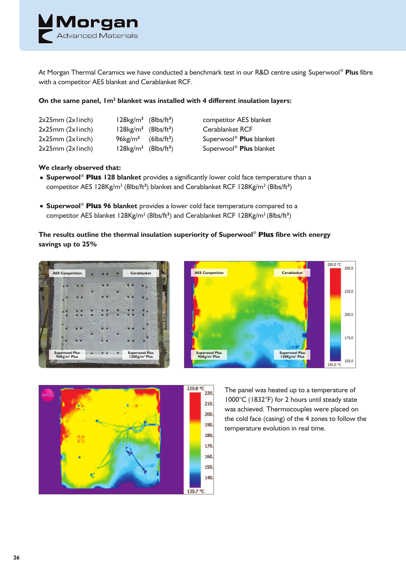

At Morgan Thermal Ceramics we have conducted a benchmark test in our R&D centre using Superwool ® **Plus** fibre with a competitor AES blanket and Cerablanket RCF.

#### **On the same panel, 1m2 blanket was installed with 4 different insulation layers:**

| $2x25mm$ ( $2x1inch$ ) | $128 kg/m3$ (8lbs/ft <sup>3</sup> )         |  |
|------------------------|---------------------------------------------|--|
| 2x25mm(2x1inch)        | $128 kg/m^3$ (8lbs/ft <sup>3</sup> )        |  |
| 2x25mm(2x1inch)        | $96 \text{kg/m}^3$ (6lbs/ft <sup>3</sup> )  |  |
| 2x25mm(2x1inch)        | $128 \text{kg/m}^3$ (8lbs/ft <sup>3</sup> ) |  |

) competitor AES blanket ) Cerablanket RCF ) Superwool ® **Plus** blanket ) Superwool ® **Plus** blanket

#### **We clearly observed that:**

- **Superwool** ® **Plus 128 blanket** provides a significantly lower cold face temperature than a competitor AES 128Kg/m<sup>3</sup> (8lbs/ft<sup>3</sup>) blanket and Cerablanket RCF 128Kg/m<sup>3</sup> (8lbs/ft<sup>3</sup>)
- **Superwool** ® **Plus 96 blanket** provides a lower cold face temperature compared to a competitor AES blanket 128Kg/m<sup>3</sup> (8lbs/ft<sup>3</sup>) and Cerablanket RCF 128Kg/m<sup>3</sup> (8lbs/ft<sup>3</sup>)

**The results outline the thermal insulation superiority of Superwool** ® **Plus fibre with energy savings up to 25%**







The panel was heated up to a temperature of 1000°C (1832°F) for 2 hours until steady state was achieved. Thermocouples were placed on the cold face (casing) of the 4 zones to follow the temperature evolution in real time.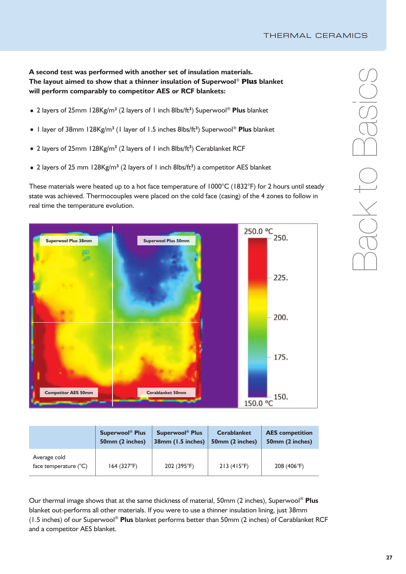**A second test was performed with another set of insulation materials. The layout aimed to show that a thinner insulation of Superwool** ® **Plus blanket will perform comparably to competitor AES or RCF blankets:**

- 2 layers of 25mm 128Kg/m**<sup>3</sup>** (2 layers of 1 inch 8lbs/ft **3** ) Superwool ® **Plus** blanket
- 1 layer of 38mm 128Kg/m**<sup>3</sup>** (1 layer of 1.5 inches 8lbs/ft **3** ) Superwool ® **Plus** blanket
- 2 layers of 25mm 128Kg/m**<sup>3</sup>** (2 layers of 1 inch 8lbs/ft **3** ) Cerablanket RCF
- 2 layers of 25 mm 128Kg/m**<sup>3</sup>** (2 layers of 1 inch 8lbs/ft **3** ) a competitor AES blanket

These materials were heated up to a hot face temperature of 1000°C (1832°F) for 2 hours until steady state was achieved. Thermocouples were placed on the cold face (casing) of the 4 zones to follow in real time the temperature evolution.



|                                                | <b>Superwool® Plus</b> | <b>Superwool<sup>®</sup> Plus</b> | <b>Cerablanket</b>  | <b>AES</b> competition |
|------------------------------------------------|------------------------|-----------------------------------|---------------------|------------------------|
|                                                | 50mm (2 inches)        | 38mm (1.5 inches)                 | 50mm (2 inches)     | 50mm (2 inches)        |
| Average cold<br>face temperature $(^{\circ}C)$ | 164 (327°F)            | 202 (395°F)                       | $213(415^{\circ}F)$ | 208 (406°F)            |

Our thermal image shows that at the same thickness of material, 50mm (2 inches), Superwool ® **Plus** blanket out-performs all other materials. If you were to use a thinner insulation lining, just 38mm (1.5 inches) of our Superwool ® **Plus** blanket performs better than 50mm (2 inches) of Cerablanket RCF and a competitor AES blanket.